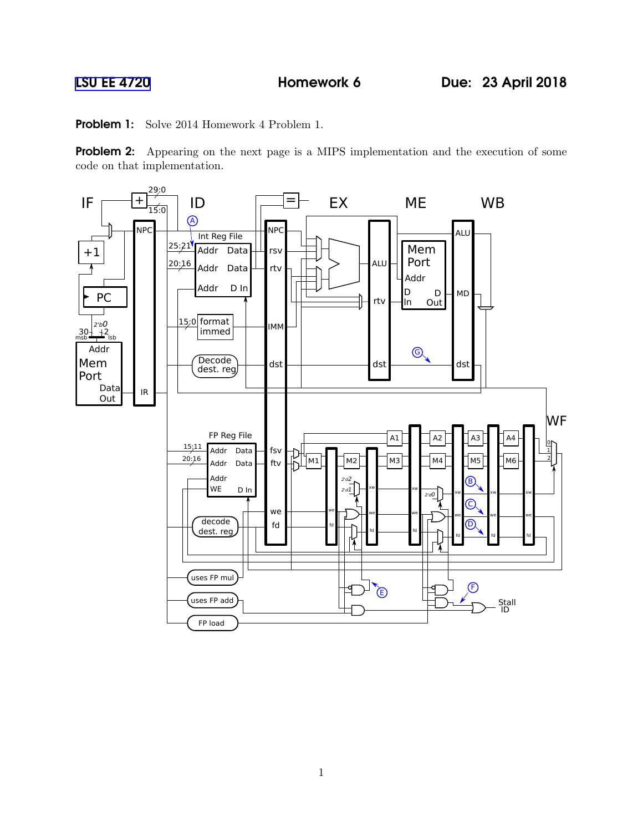Problem 1: Solve 2014 Homework 4 Problem 1.

Problem 2: Appearing on the next page is a MIPS implementation and the execution of some code on that implementation.

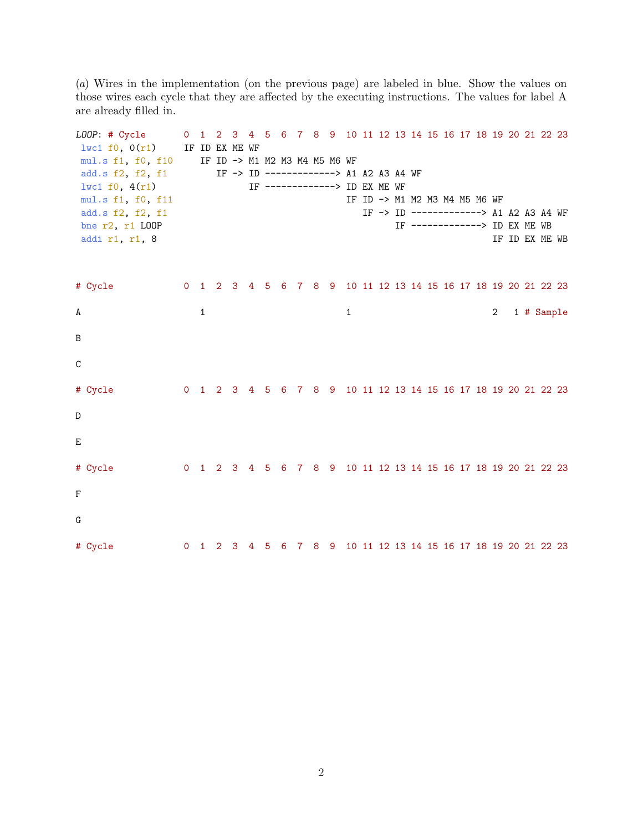(a) Wires in the implementation (on the previous page) are labeled in blue. Show the values on those wires each cycle that they are affected by the executing instructions. The values for label A are already filled in.

| LOOP: # Cycle<br>$1$ wc1 f0, $0(r1)$<br>mul.s f1, f0, f10<br>add.s f2, f2, f1<br>1wc1 f0, 4(r1)<br>mul.s f1, f0, f11<br>add.s f2, f2, f1<br>bne r2, r1 LOOP<br>addi r1, r1, 8 | $\overline{0}$ | $\mathbf{1}$ | IF ID EX ME WF | $2 \quad 3$ |   | 4 5 |   |  | IF ID -> M1 M2 M3 M4 M5 M6 WF | IF -> ID -------------> A1 A2 A3 A4 WF<br>IF -------------> ID EX ME WF |  |  |  | IF ID -> M1 M2 M3 M4 M5 M6 WF<br>IF -------------> ID EX ME WB |                |  | 6 7 8 9 10 11 12 13 14 15 16 17 18 19 20 21 22 23<br>IF -> ID -------------> A1 A2 A3 A4 WF<br>IF ID EX ME WB |  |
|-------------------------------------------------------------------------------------------------------------------------------------------------------------------------------|----------------|--------------|----------------|-------------|---|-----|---|--|-------------------------------|-------------------------------------------------------------------------|--|--|--|----------------------------------------------------------------|----------------|--|---------------------------------------------------------------------------------------------------------------|--|
|                                                                                                                                                                               |                |              |                |             |   |     |   |  |                               |                                                                         |  |  |  |                                                                |                |  |                                                                                                               |  |
| # Cycle                                                                                                                                                                       |                |              |                |             |   |     |   |  |                               |                                                                         |  |  |  |                                                                |                |  | 0 1 2 3 4 5 6 7 8 9 10 11 12 13 14 15 16 17 18 19 20 21 22 23                                                 |  |
| A                                                                                                                                                                             |                | $\mathbf{1}$ |                |             |   |     |   |  |                               | 1                                                                       |  |  |  |                                                                | $\overline{2}$ |  | 1 # Sample                                                                                                    |  |
| B                                                                                                                                                                             |                |              |                |             |   |     |   |  |                               |                                                                         |  |  |  |                                                                |                |  |                                                                                                               |  |
| $\mathsf{C}$                                                                                                                                                                  |                |              |                |             |   |     |   |  |                               |                                                                         |  |  |  |                                                                |                |  |                                                                                                               |  |
| # Cycle                                                                                                                                                                       |                |              |                |             |   |     |   |  |                               |                                                                         |  |  |  |                                                                |                |  | 0 1 2 3 4 5 6 7 8 9 10 11 12 13 14 15 16 17 18 19 20 21 22 23                                                 |  |
| D                                                                                                                                                                             |                |              |                |             |   |     |   |  |                               |                                                                         |  |  |  |                                                                |                |  |                                                                                                               |  |
| E                                                                                                                                                                             |                |              |                |             |   |     |   |  |                               |                                                                         |  |  |  |                                                                |                |  |                                                                                                               |  |
| # Cycle                                                                                                                                                                       |                |              |                |             |   |     |   |  |                               |                                                                         |  |  |  |                                                                |                |  | 0 1 2 3 4 5 6 7 8 9 10 11 12 13 14 15 16 17 18 19 20 21 22 23                                                 |  |
| F                                                                                                                                                                             |                |              |                |             |   |     |   |  |                               |                                                                         |  |  |  |                                                                |                |  |                                                                                                               |  |
| G                                                                                                                                                                             |                |              |                |             |   |     |   |  |                               |                                                                         |  |  |  |                                                                |                |  |                                                                                                               |  |
| # Cycle                                                                                                                                                                       | 0              | $\mathbf{1}$ | 2              | - 3         | 4 | 5   | 6 |  |                               |                                                                         |  |  |  |                                                                |                |  | 7 8 9 10 11 12 13 14 15 16 17 18 19 20 21 22 23                                                               |  |

2